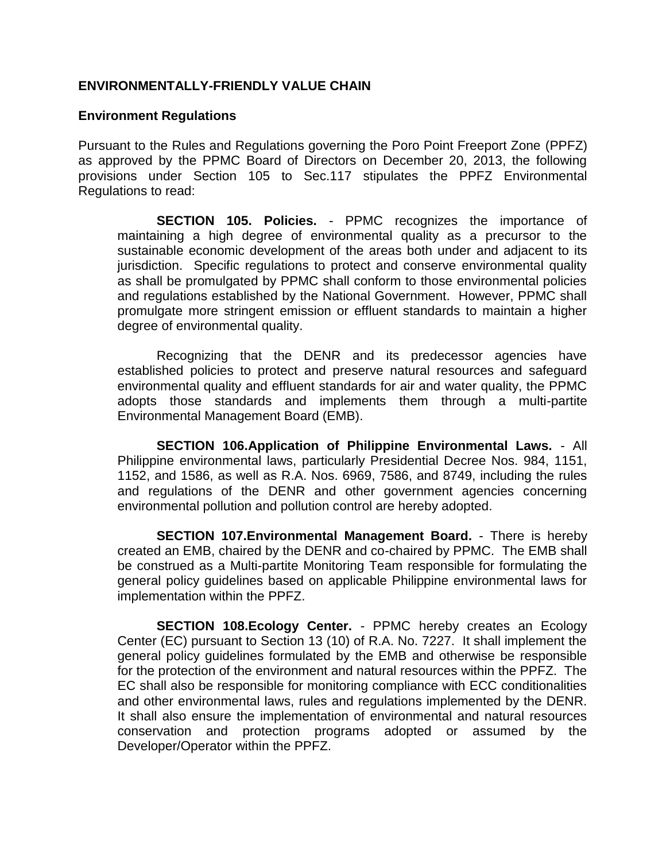## **ENVIRONMENTALLY-FRIENDLY VALUE CHAIN**

## **Environment Regulations**

Pursuant to the Rules and Regulations governing the Poro Point Freeport Zone (PPFZ) as approved by the PPMC Board of Directors on December 20, 2013, the following provisions under Section 105 to Sec.117 stipulates the PPFZ Environmental Regulations to read:

**SECTION 105. Policies.** - PPMC recognizes the importance of maintaining a high degree of environmental quality as a precursor to the sustainable economic development of the areas both under and adjacent to its jurisdiction. Specific regulations to protect and conserve environmental quality as shall be promulgated by PPMC shall conform to those environmental policies and regulations established by the National Government. However, PPMC shall promulgate more stringent emission or effluent standards to maintain a higher degree of environmental quality.

Recognizing that the DENR and its predecessor agencies have established policies to protect and preserve natural resources and safeguard environmental quality and effluent standards for air and water quality, the PPMC adopts those standards and implements them through a multi-partite Environmental Management Board (EMB).

**SECTION 106.Application of Philippine Environmental Laws.** - All Philippine environmental laws, particularly Presidential Decree Nos. 984, 1151, 1152, and 1586, as well as R.A. Nos. 6969, 7586, and 8749, including the rules and regulations of the DENR and other government agencies concerning environmental pollution and pollution control are hereby adopted.

**SECTION 107.Environmental Management Board.** - There is hereby created an EMB, chaired by the DENR and co-chaired by PPMC. The EMB shall be construed as a Multi-partite Monitoring Team responsible for formulating the general policy guidelines based on applicable Philippine environmental laws for implementation within the PPFZ.

**SECTION 108.Ecology Center.** - PPMC hereby creates an Ecology Center (EC) pursuant to Section 13 (10) of R.A. No. 7227. It shall implement the general policy guidelines formulated by the EMB and otherwise be responsible for the protection of the environment and natural resources within the PPFZ. The EC shall also be responsible for monitoring compliance with ECC conditionalities and other environmental laws, rules and regulations implemented by the DENR. It shall also ensure the implementation of environmental and natural resources conservation and protection programs adopted or assumed by the Developer/Operator within the PPFZ.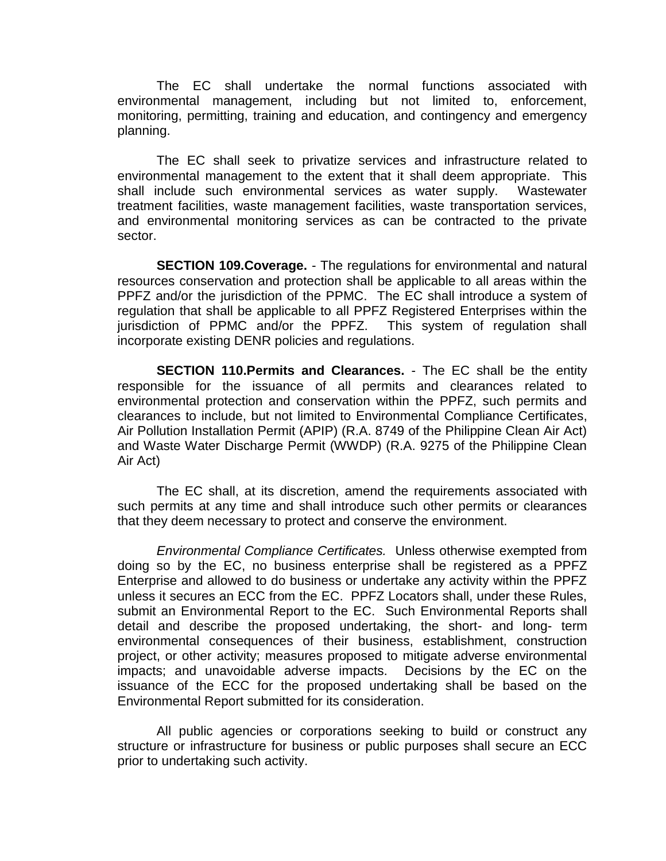The EC shall undertake the normal functions associated with environmental management, including but not limited to, enforcement, monitoring, permitting, training and education, and contingency and emergency planning.

The EC shall seek to privatize services and infrastructure related to environmental management to the extent that it shall deem appropriate. This shall include such environmental services as water supply. Wastewater treatment facilities, waste management facilities, waste transportation services, and environmental monitoring services as can be contracted to the private sector.

**SECTION 109.Coverage.** - The regulations for environmental and natural resources conservation and protection shall be applicable to all areas within the PPFZ and/or the jurisdiction of the PPMC. The EC shall introduce a system of regulation that shall be applicable to all PPFZ Registered Enterprises within the jurisdiction of PPMC and/or the PPFZ. This system of regulation shall incorporate existing DENR policies and regulations.

**SECTION 110.Permits and Clearances.** - The EC shall be the entity responsible for the issuance of all permits and clearances related to environmental protection and conservation within the PPFZ, such permits and clearances to include, but not limited to Environmental Compliance Certificates, Air Pollution Installation Permit (APIP) (R.A. 8749 of the Philippine Clean Air Act) and Waste Water Discharge Permit (WWDP) (R.A. 9275 of the Philippine Clean Air Act)

The EC shall, at its discretion, amend the requirements associated with such permits at any time and shall introduce such other permits or clearances that they deem necessary to protect and conserve the environment.

*Environmental Compliance Certificates.* Unless otherwise exempted from doing so by the EC, no business enterprise shall be registered as a PPFZ Enterprise and allowed to do business or undertake any activity within the PPFZ unless it secures an ECC from the EC. PPFZ Locators shall, under these Rules, submit an Environmental Report to the EC. Such Environmental Reports shall detail and describe the proposed undertaking, the short- and long- term environmental consequences of their business, establishment, construction project, or other activity; measures proposed to mitigate adverse environmental impacts; and unavoidable adverse impacts. Decisions by the EC on the issuance of the ECC for the proposed undertaking shall be based on the Environmental Report submitted for its consideration.

All public agencies or corporations seeking to build or construct any structure or infrastructure for business or public purposes shall secure an ECC prior to undertaking such activity.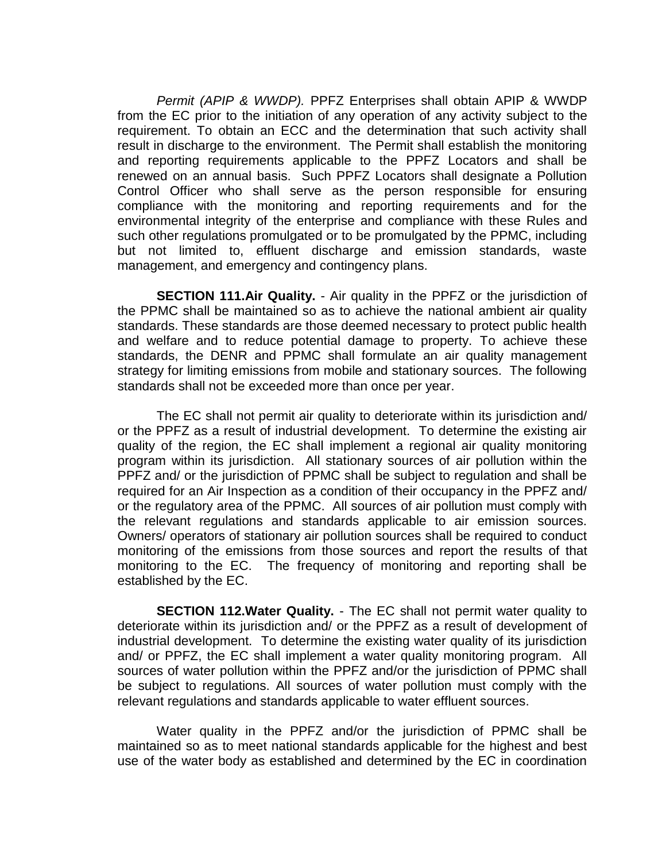*Permit (APIP & WWDP).* PPFZ Enterprises shall obtain APIP & WWDP from the EC prior to the initiation of any operation of any activity subject to the requirement. To obtain an ECC and the determination that such activity shall result in discharge to the environment. The Permit shall establish the monitoring and reporting requirements applicable to the PPFZ Locators and shall be renewed on an annual basis. Such PPFZ Locators shall designate a Pollution Control Officer who shall serve as the person responsible for ensuring compliance with the monitoring and reporting requirements and for the environmental integrity of the enterprise and compliance with these Rules and such other regulations promulgated or to be promulgated by the PPMC, including but not limited to, effluent discharge and emission standards, waste management, and emergency and contingency plans.

**SECTION 111.Air Quality.** - Air quality in the PPFZ or the jurisdiction of the PPMC shall be maintained so as to achieve the national ambient air quality standards. These standards are those deemed necessary to protect public health and welfare and to reduce potential damage to property. To achieve these standards, the DENR and PPMC shall formulate an air quality management strategy for limiting emissions from mobile and stationary sources. The following standards shall not be exceeded more than once per year.

The EC shall not permit air quality to deteriorate within its jurisdiction and/ or the PPFZ as a result of industrial development. To determine the existing air quality of the region, the EC shall implement a regional air quality monitoring program within its jurisdiction. All stationary sources of air pollution within the PPFZ and/ or the jurisdiction of PPMC shall be subject to regulation and shall be required for an Air Inspection as a condition of their occupancy in the PPFZ and/ or the regulatory area of the PPMC. All sources of air pollution must comply with the relevant regulations and standards applicable to air emission sources. Owners/ operators of stationary air pollution sources shall be required to conduct monitoring of the emissions from those sources and report the results of that monitoring to the EC. The frequency of monitoring and reporting shall be established by the EC.

**SECTION 112. Water Quality.** - The EC shall not permit water quality to deteriorate within its jurisdiction and/ or the PPFZ as a result of development of industrial development. To determine the existing water quality of its jurisdiction and/ or PPFZ, the EC shall implement a water quality monitoring program. All sources of water pollution within the PPFZ and/or the jurisdiction of PPMC shall be subject to regulations. All sources of water pollution must comply with the relevant regulations and standards applicable to water effluent sources.

Water quality in the PPFZ and/or the jurisdiction of PPMC shall be maintained so as to meet national standards applicable for the highest and best use of the water body as established and determined by the EC in coordination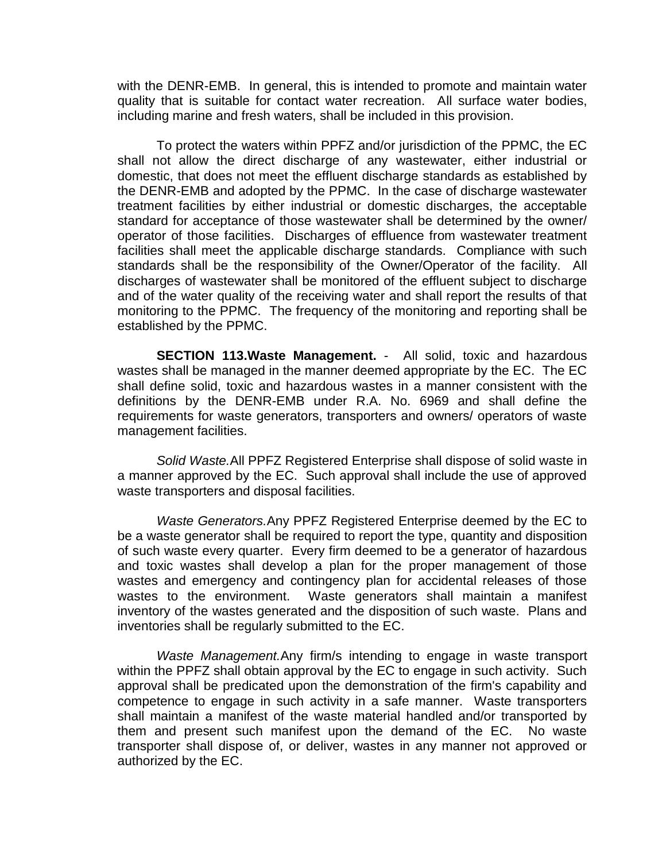with the DENR-EMB. In general, this is intended to promote and maintain water quality that is suitable for contact water recreation. All surface water bodies, including marine and fresh waters, shall be included in this provision.

To protect the waters within PPFZ and/or jurisdiction of the PPMC, the EC shall not allow the direct discharge of any wastewater, either industrial or domestic, that does not meet the effluent discharge standards as established by the DENR-EMB and adopted by the PPMC. In the case of discharge wastewater treatment facilities by either industrial or domestic discharges, the acceptable standard for acceptance of those wastewater shall be determined by the owner/ operator of those facilities. Discharges of effluence from wastewater treatment facilities shall meet the applicable discharge standards. Compliance with such standards shall be the responsibility of the Owner/Operator of the facility. All discharges of wastewater shall be monitored of the effluent subject to discharge and of the water quality of the receiving water and shall report the results of that monitoring to the PPMC. The frequency of the monitoring and reporting shall be established by the PPMC.

**SECTION 113.Waste Management.** - All solid, toxic and hazardous wastes shall be managed in the manner deemed appropriate by the EC. The EC shall define solid, toxic and hazardous wastes in a manner consistent with the definitions by the DENR-EMB under R.A. No. 6969 and shall define the requirements for waste generators, transporters and owners/ operators of waste management facilities.

*Solid Waste.*All PPFZ Registered Enterprise shall dispose of solid waste in a manner approved by the EC. Such approval shall include the use of approved waste transporters and disposal facilities.

*Waste Generators.*Any PPFZ Registered Enterprise deemed by the EC to be a waste generator shall be required to report the type, quantity and disposition of such waste every quarter. Every firm deemed to be a generator of hazardous and toxic wastes shall develop a plan for the proper management of those wastes and emergency and contingency plan for accidental releases of those wastes to the environment. Waste generators shall maintain a manifest inventory of the wastes generated and the disposition of such waste. Plans and inventories shall be regularly submitted to the EC.

*Waste Management.*Any firm/s intending to engage in waste transport within the PPFZ shall obtain approval by the EC to engage in such activity. Such approval shall be predicated upon the demonstration of the firm's capability and competence to engage in such activity in a safe manner. Waste transporters shall maintain a manifest of the waste material handled and/or transported by them and present such manifest upon the demand of the EC. No waste transporter shall dispose of, or deliver, wastes in any manner not approved or authorized by the EC.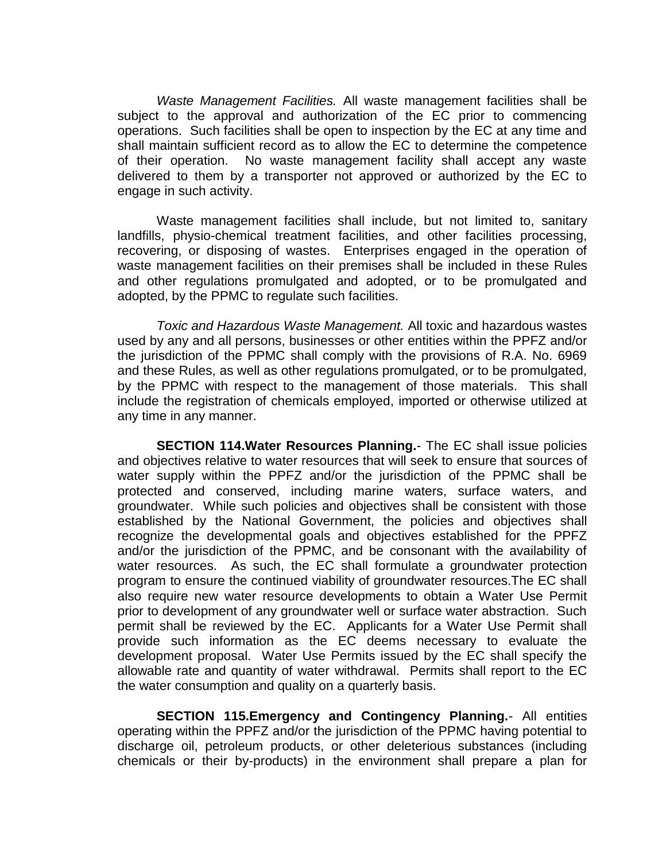*Waste Management Facilities.* All waste management facilities shall be subject to the approval and authorization of the EC prior to commencing operations. Such facilities shall be open to inspection by the EC at any time and shall maintain sufficient record as to allow the EC to determine the competence of their operation. No waste management facility shall accept any waste delivered to them by a transporter not approved or authorized by the EC to engage in such activity.

Waste management facilities shall include, but not limited to, sanitary landfills, physio-chemical treatment facilities, and other facilities processing, recovering, or disposing of wastes. Enterprises engaged in the operation of waste management facilities on their premises shall be included in these Rules and other regulations promulgated and adopted, or to be promulgated and adopted, by the PPMC to regulate such facilities.

*Toxic and Hazardous Waste Management.* All toxic and hazardous wastes used by any and all persons, businesses or other entities within the PPFZ and/or the jurisdiction of the PPMC shall comply with the provisions of R.A. No. 6969 and these Rules, as well as other regulations promulgated, or to be promulgated, by the PPMC with respect to the management of those materials. This shall include the registration of chemicals employed, imported or otherwise utilized at any time in any manner.

**SECTION 114.Water Resources Planning.**- The EC shall issue policies and objectives relative to water resources that will seek to ensure that sources of water supply within the PPFZ and/or the jurisdiction of the PPMC shall be protected and conserved, including marine waters, surface waters, and groundwater. While such policies and objectives shall be consistent with those established by the National Government, the policies and objectives shall recognize the developmental goals and objectives established for the PPFZ and/or the jurisdiction of the PPMC, and be consonant with the availability of water resources. As such, the EC shall formulate a groundwater protection program to ensure the continued viability of groundwater resources.The EC shall also require new water resource developments to obtain a Water Use Permit prior to development of any groundwater well or surface water abstraction. Such permit shall be reviewed by the EC. Applicants for a Water Use Permit shall provide such information as the EC deems necessary to evaluate the development proposal. Water Use Permits issued by the EC shall specify the allowable rate and quantity of water withdrawal. Permits shall report to the EC the water consumption and quality on a quarterly basis.

**SECTION 115.Emergency and Contingency Planning.**- All entities operating within the PPFZ and/or the jurisdiction of the PPMC having potential to discharge oil, petroleum products, or other deleterious substances (including chemicals or their by-products) in the environment shall prepare a plan for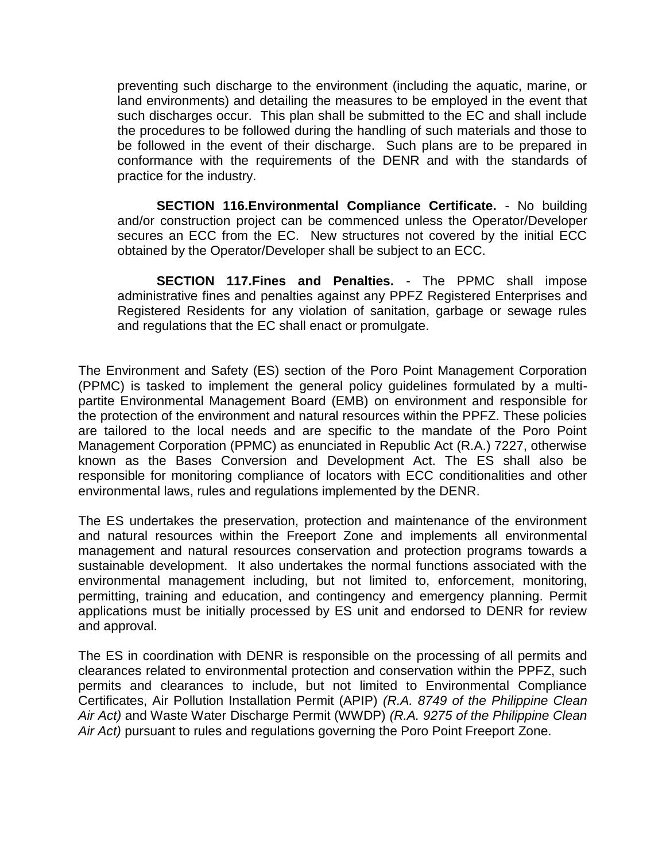preventing such discharge to the environment (including the aquatic, marine, or land environments) and detailing the measures to be employed in the event that such discharges occur. This plan shall be submitted to the EC and shall include the procedures to be followed during the handling of such materials and those to be followed in the event of their discharge. Such plans are to be prepared in conformance with the requirements of the DENR and with the standards of practice for the industry.

**SECTION 116.Environmental Compliance Certificate.** - No building and/or construction project can be commenced unless the Operator/Developer secures an ECC from the EC. New structures not covered by the initial ECC obtained by the Operator/Developer shall be subject to an ECC.

**SECTION 117.Fines and Penalties.** - The PPMC shall impose administrative fines and penalties against any PPFZ Registered Enterprises and Registered Residents for any violation of sanitation, garbage or sewage rules and regulations that the EC shall enact or promulgate.

The Environment and Safety (ES) section of the Poro Point Management Corporation (PPMC) is tasked to implement the general policy guidelines formulated by a multipartite Environmental Management Board (EMB) on environment and responsible for the protection of the environment and natural resources within the PPFZ. These policies are tailored to the local needs and are specific to the mandate of the Poro Point Management Corporation (PPMC) as enunciated in Republic Act (R.A.) 7227, otherwise known as the Bases Conversion and Development Act. The ES shall also be responsible for monitoring compliance of locators with ECC conditionalities and other environmental laws, rules and regulations implemented by the DENR.

The ES undertakes the preservation, protection and maintenance of the environment and natural resources within the Freeport Zone and implements all environmental management and natural resources conservation and protection programs towards a sustainable development. It also undertakes the normal functions associated with the environmental management including, but not limited to, enforcement, monitoring, permitting, training and education, and contingency and emergency planning. Permit applications must be initially processed by ES unit and endorsed to DENR for review and approval.

The ES in coordination with DENR is responsible on the processing of all permits and clearances related to environmental protection and conservation within the PPFZ, such permits and clearances to include, but not limited to Environmental Compliance Certificates, Air Pollution Installation Permit (APIP) *(R.A. 8749 of the Philippine Clean Air Act)* and Waste Water Discharge Permit (WWDP) *(R.A. 9275 of the Philippine Clean Air Act)* pursuant to rules and regulations governing the Poro Point Freeport Zone.